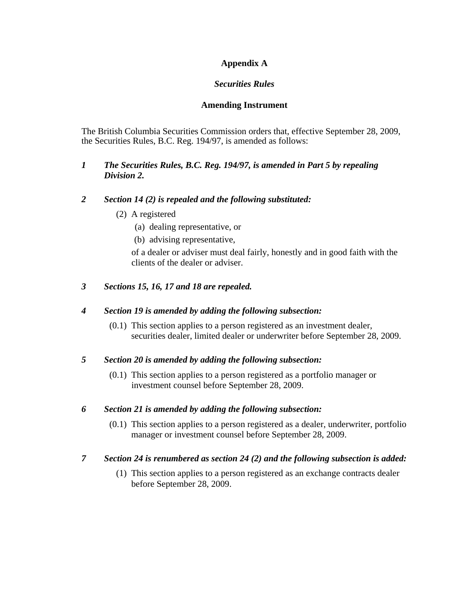# **Appendix A**

# *Securities Rules*

## **Amending Instrument**

The British Columbia Securities Commission orders that, effective September 28, 2009, the Securities Rules, B.C. Reg. 194/97, is amended as follows:

## *1 The Securities Rules, B.C. Reg. 194/97, is amended in Part 5 by repealing Division 2.*

## *2 Section 14 (2) is repealed and the following substituted:*

- (2) A registered
	- (a) dealing representative, or
	- (b) advising representative,

of a dealer or adviser must deal fairly, honestly and in good faith with the clients of the dealer or adviser.

# *3 Sections 15, 16, 17 and 18 are repealed.*

# *4 Section 19 is amended by adding the following subsection:*

 (0.1) This section applies to a person registered as an investment dealer, securities dealer, limited dealer or underwriter before September 28, 2009.

# *5 Section 20 is amended by adding the following subsection:*

 (0.1) This section applies to a person registered as a portfolio manager or investment counsel before September 28, 2009.

# *6 Section 21 is amended by adding the following subsection:*

 (0.1) This section applies to a person registered as a dealer, underwriter, portfolio manager or investment counsel before September 28, 2009.

# *7 Section 24 is renumbered as section 24 (2) and the following subsection is added:*

 (1) This section applies to a person registered as an exchange contracts dealer before September 28, 2009.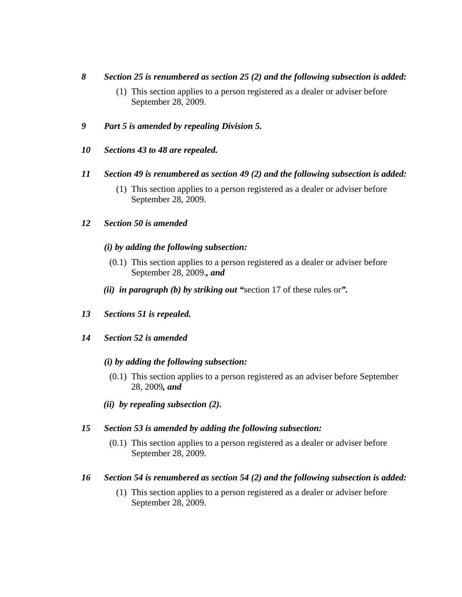## *8 Section 25 is renumbered as section 25 (2) and the following subsection is added:*

- (1) This section applies to a person registered as a dealer or adviser before September 28, 2009.
- *9 Part 5 is amended by repealing Division 5.*
- *10 Sections 43 to 48 are repealed.*

## *11 Section 49 is renumbered as section 49 (2) and the following subsection is added:*

 (1) This section applies to a person registered as a dealer or adviser before September 28, 2009.

# *12 Section 50 is amended*

## *(i) by adding the following subsection:*

- (0.1) This section applies to a person registered as a dealer or adviser before September 28, 2009.*, and*
- *(ii) in paragraph (b) by striking out "*section 17 of these rules or*".*
- *13 Sections 51 is repealed.*
- *14 Section 52 is amended*

## *(i) by adding the following subsection:*

- (0.1) This section applies to a person registered as an adviser before September 28, 2009*, and*
- *(ii) by repealing subsection (2).*

## *15 Section 53 is amended by adding the following subsection:*

 (0.1) This section applies to a person registered as a dealer or adviser before September 28, 2009.

## *16 Section 54 is renumbered as section 54 (2) and the following subsection is added:*

 (1) This section applies to a person registered as a dealer or adviser before September 28, 2009.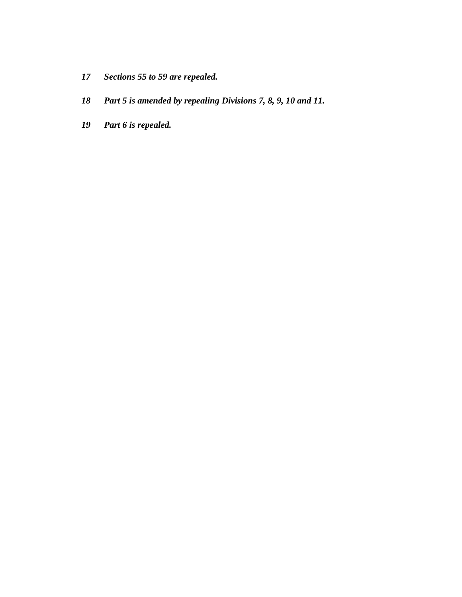- *17 Sections 55 to 59 are repealed.*
- *18 Part 5 is amended by repealing Divisions 7, 8, 9, 10 and 11.*
- *19 Part 6 is repealed.*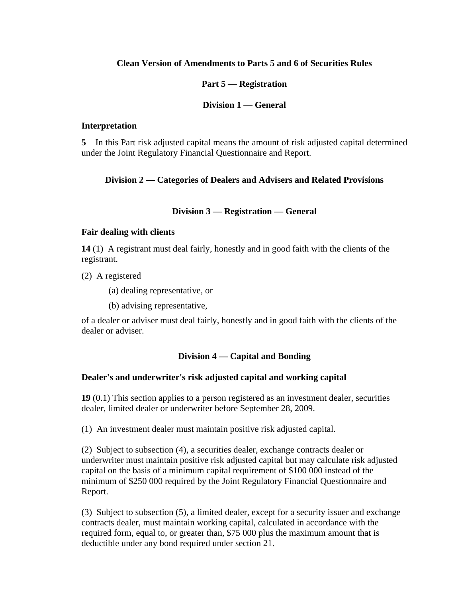## **Clean Version of Amendments to Parts 5 and 6 of Securities Rules**

#### **Part 5 — Registration**

#### **Division 1 — General**

#### **Interpretation**

**5** In this Part risk adjusted capital means the amount of risk adjusted capital determined under the Joint Regulatory Financial Questionnaire and Report.

## **Division 2 — Categories of Dealers and Advisers and Related Provisions**

## **Division 3 — Registration — General**

## **Fair dealing with clients**

**14** (1) A registrant must deal fairly, honestly and in good faith with the clients of the registrant.

(2) A registered

(a) dealing representative, or

(b) advising representative,

of a dealer or adviser must deal fairly, honestly and in good faith with the clients of the dealer or adviser.

# **Division 4 — Capital and Bonding**

# **Dealer's and underwriter's risk adjusted capital and working capital**

**19** (0.1) This section applies to a person registered as an investment dealer, securities dealer, limited dealer or underwriter before September 28, 2009.

(1) An investment dealer must maintain positive risk adjusted capital.

(2) Subject to subsection (4), a securities dealer, exchange contracts dealer or underwriter must maintain positive risk adjusted capital but may calculate risk adjusted capital on the basis of a minimum capital requirement of \$100 000 instead of the minimum of \$250 000 required by the Joint Regulatory Financial Questionnaire and Report.

(3) Subject to subsection (5), a limited dealer, except for a security issuer and exchange contracts dealer, must maintain working capital, calculated in accordance with the required form, equal to, or greater than, \$75 000 plus the maximum amount that is deductible under any bond required under section 21.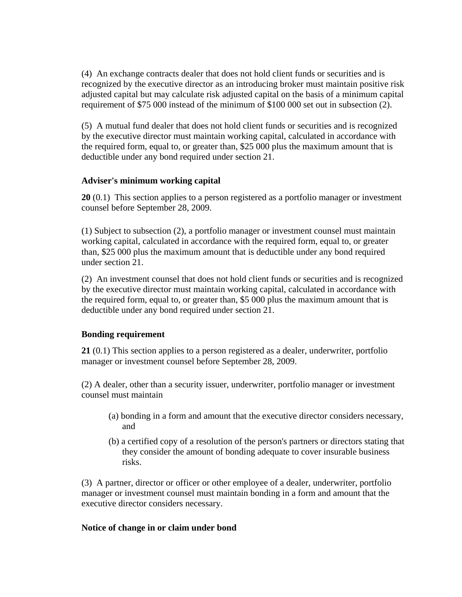(4) An exchange contracts dealer that does not hold client funds or securities and is recognized by the executive director as an introducing broker must maintain positive risk adjusted capital but may calculate risk adjusted capital on the basis of a minimum capital requirement of \$75 000 instead of the minimum of \$100 000 set out in subsection (2).

(5) A mutual fund dealer that does not hold client funds or securities and is recognized by the executive director must maintain working capital, calculated in accordance with the required form, equal to, or greater than, \$25 000 plus the maximum amount that is deductible under any bond required under section 21.

## **Adviser's minimum working capital**

**20** (0.1) This section applies to a person registered as a portfolio manager or investment counsel before September 28, 2009.

(1) Subject to subsection (2), a portfolio manager or investment counsel must maintain working capital, calculated in accordance with the required form, equal to, or greater than, \$25 000 plus the maximum amount that is deductible under any bond required under section 21.

(2) An investment counsel that does not hold client funds or securities and is recognized by the executive director must maintain working capital, calculated in accordance with the required form, equal to, or greater than, \$5 000 plus the maximum amount that is deductible under any bond required under section 21.

# **Bonding requirement**

**21** (0.1) This section applies to a person registered as a dealer, underwriter, portfolio manager or investment counsel before September 28, 2009.

(2) A dealer, other than a security issuer, underwriter, portfolio manager or investment counsel must maintain

- (a) bonding in a form and amount that the executive director considers necessary, and
- (b) a certified copy of a resolution of the person's partners or directors stating that they consider the amount of bonding adequate to cover insurable business risks.

(3) A partner, director or officer or other employee of a dealer, underwriter, portfolio manager or investment counsel must maintain bonding in a form and amount that the executive director considers necessary.

## **Notice of change in or claim under bond**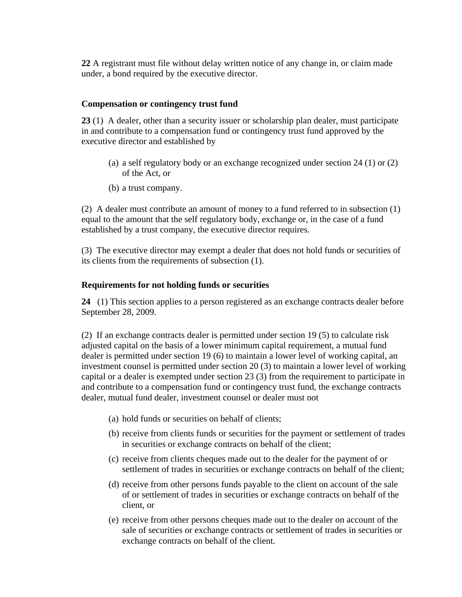**22** A registrant must file without delay written notice of any change in, or claim made under, a bond required by the executive director.

#### **Compensation or contingency trust fund**

**23** (1) A dealer, other than a security issuer or scholarship plan dealer, must participate in and contribute to a compensation fund or contingency trust fund approved by the executive director and established by

- (a) a self regulatory body or an exchange recognized under section 24 (1) or (2) of the Act, or
- (b) a trust company.

(2) A dealer must contribute an amount of money to a fund referred to in subsection (1) equal to the amount that the self regulatory body, exchange or, in the case of a fund established by a trust company, the executive director requires.

(3) The executive director may exempt a dealer that does not hold funds or securities of its clients from the requirements of subsection (1).

## **Requirements for not holding funds or securities**

**24** (1) This section applies to a person registered as an exchange contracts dealer before September 28, 2009.

(2) If an exchange contracts dealer is permitted under section 19 (5) to calculate risk adjusted capital on the basis of a lower minimum capital requirement, a mutual fund dealer is permitted under section 19 (6) to maintain a lower level of working capital, an investment counsel is permitted under section 20 (3) to maintain a lower level of working capital or a dealer is exempted under section 23 (3) from the requirement to participate in and contribute to a compensation fund or contingency trust fund, the exchange contracts dealer, mutual fund dealer, investment counsel or dealer must not

- (a) hold funds or securities on behalf of clients;
- (b) receive from clients funds or securities for the payment or settlement of trades in securities or exchange contracts on behalf of the client;
- (c) receive from clients cheques made out to the dealer for the payment of or settlement of trades in securities or exchange contracts on behalf of the client;
- (d) receive from other persons funds payable to the client on account of the sale of or settlement of trades in securities or exchange contracts on behalf of the client, or
- (e) receive from other persons cheques made out to the dealer on account of the sale of securities or exchange contracts or settlement of trades in securities or exchange contracts on behalf of the client.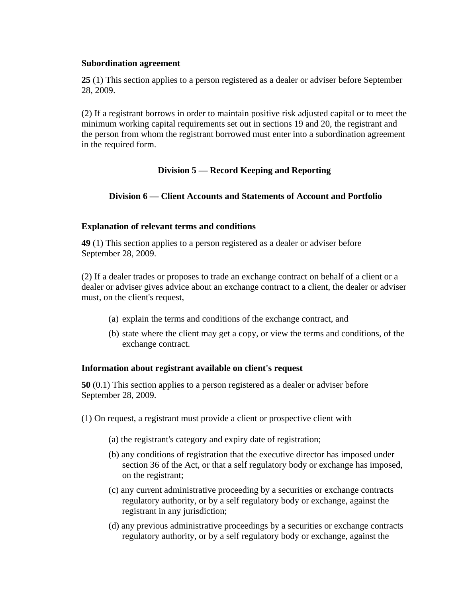#### **Subordination agreement**

**25** (1) This section applies to a person registered as a dealer or adviser before September 28, 2009.

(2) If a registrant borrows in order to maintain positive risk adjusted capital or to meet the minimum working capital requirements set out in sections 19 and 20, the registrant and the person from whom the registrant borrowed must enter into a subordination agreement in the required form.

# **Division 5 — Record Keeping and Reporting**

# **Division 6 — Client Accounts and Statements of Account and Portfolio**

## **Explanation of relevant terms and conditions**

**49** (1) This section applies to a person registered as a dealer or adviser before September 28, 2009.

(2) If a dealer trades or proposes to trade an exchange contract on behalf of a client or a dealer or adviser gives advice about an exchange contract to a client, the dealer or adviser must, on the client's request,

- (a) explain the terms and conditions of the exchange contract, and
- (b) state where the client may get a copy, or view the terms and conditions, of the exchange contract.

## **Information about registrant available on client's request**

**50** (0.1) This section applies to a person registered as a dealer or adviser before September 28, 2009.

- (1) On request, a registrant must provide a client or prospective client with
	- (a) the registrant's category and expiry date of registration;
	- (b) any conditions of registration that the executive director has imposed under section 36 of the Act, or that a self regulatory body or exchange has imposed, on the registrant;
	- (c) any current administrative proceeding by a securities or exchange contracts regulatory authority, or by a self regulatory body or exchange, against the registrant in any jurisdiction;
	- (d) any previous administrative proceedings by a securities or exchange contracts regulatory authority, or by a self regulatory body or exchange, against the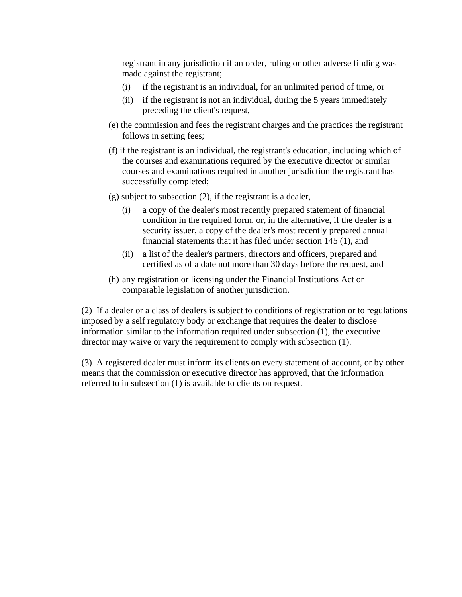registrant in any jurisdiction if an order, ruling or other adverse finding was made against the registrant;

- (i) if the registrant is an individual, for an unlimited period of time, or
- (ii) if the registrant is not an individual, during the 5 years immediately preceding the client's request,
- (e) the commission and fees the registrant charges and the practices the registrant follows in setting fees;
- (f) if the registrant is an individual, the registrant's education, including which of the courses and examinations required by the executive director or similar courses and examinations required in another jurisdiction the registrant has successfully completed;
- (g) subject to subsection (2), if the registrant is a dealer,
	- (i) a copy of the dealer's most recently prepared statement of financial condition in the required form, or, in the alternative, if the dealer is a security issuer, a copy of the dealer's most recently prepared annual financial statements that it has filed under section 145 (1), and
	- (ii) a list of the dealer's partners, directors and officers, prepared and certified as of a date not more than 30 days before the request, and
- (h) any registration or licensing under the Financial Institutions Act or comparable legislation of another jurisdiction.

(2) If a dealer or a class of dealers is subject to conditions of registration or to regulations imposed by a self regulatory body or exchange that requires the dealer to disclose information similar to the information required under subsection (1), the executive director may waive or vary the requirement to comply with subsection (1).

(3) A registered dealer must inform its clients on every statement of account, or by other means that the commission or executive director has approved, that the information referred to in subsection (1) is available to clients on request.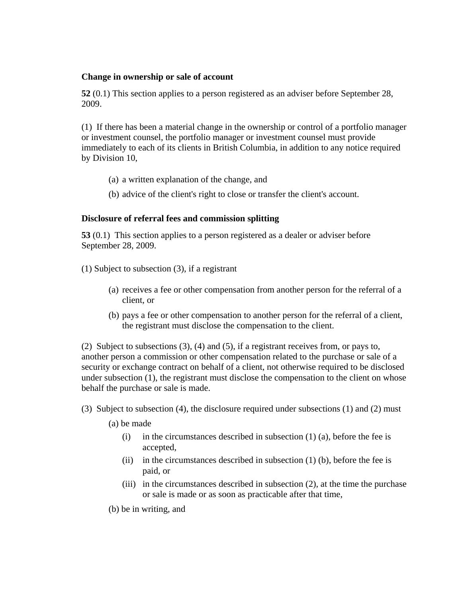## **Change in ownership or sale of account**

**52** (0.1) This section applies to a person registered as an adviser before September 28, 2009.

(1) If there has been a material change in the ownership or control of a portfolio manager or investment counsel, the portfolio manager or investment counsel must provide immediately to each of its clients in British Columbia, in addition to any notice required by Division 10,

- (a) a written explanation of the change, and
- (b) advice of the client's right to close or transfer the client's account.

## **Disclosure of referral fees and commission splitting**

**53** (0.1) This section applies to a person registered as a dealer or adviser before September 28, 2009.

- (1) Subject to subsection (3), if a registrant
	- (a) receives a fee or other compensation from another person for the referral of a client, or
	- (b) pays a fee or other compensation to another person for the referral of a client, the registrant must disclose the compensation to the client.

(2) Subject to subsections (3), (4) and (5), if a registrant receives from, or pays to, another person a commission or other compensation related to the purchase or sale of a security or exchange contract on behalf of a client, not otherwise required to be disclosed under subsection (1), the registrant must disclose the compensation to the client on whose behalf the purchase or sale is made.

(3) Subject to subsection (4), the disclosure required under subsections (1) and (2) must

(a) be made

- (i) in the circumstances described in subsection  $(1)$  (a), before the fee is accepted,
- (ii) in the circumstances described in subsection  $(1)$  (b), before the fee is paid, or
- (iii) in the circumstances described in subsection (2), at the time the purchase or sale is made or as soon as practicable after that time,

(b) be in writing, and